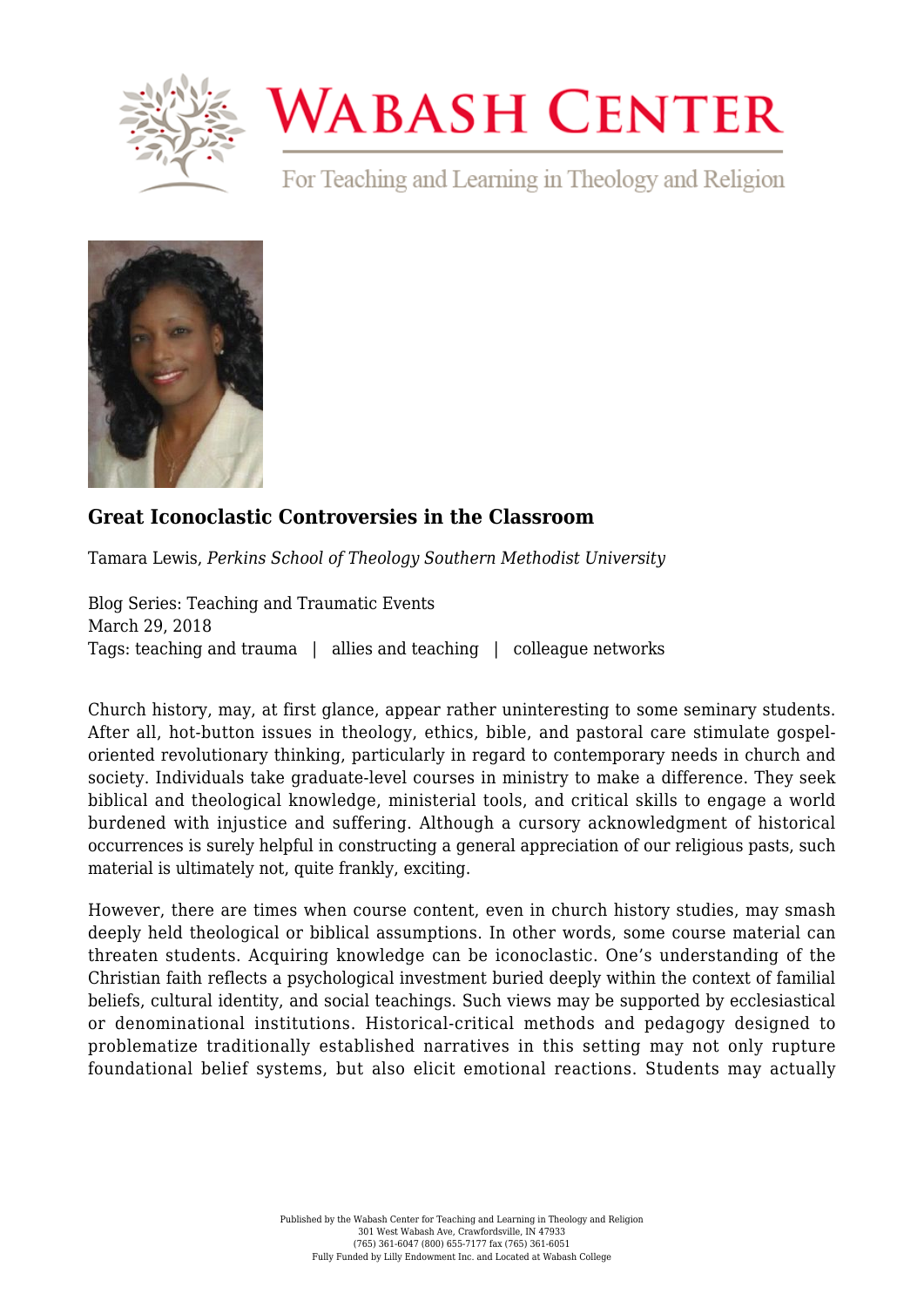

## **WABASH CENTER**

For Teaching and Learning in Theology and Religion



## **[Great Iconoclastic Controversies in the Classroom](https://www.wabashcenter.wabash.edu/2018/03/great-iconoclastic-controversies-in-the-classroom/)**

Tamara Lewis, *Perkins School of Theology Southern Methodist University*

Blog Series: Teaching and Traumatic Events March 29, 2018 Tags: teaching and trauma | allies and teaching | colleague networks

Church history, may, at first glance, appear rather uninteresting to some seminary students. After all, hot-button issues in theology, ethics, bible, and pastoral care stimulate gospeloriented revolutionary thinking, particularly in regard to contemporary needs in church and society. Individuals take graduate-level courses in ministry to make a difference. They seek biblical and theological knowledge, ministerial tools, and critical skills to engage a world burdened with injustice and suffering. Although a cursory acknowledgment of historical occurrences is surely helpful in constructing a general appreciation of our religious pasts, such material is ultimately not, quite frankly, exciting.

However, there are times when course content, even in church history studies, may smash deeply held theological or biblical assumptions. In other words, some course material can threaten students. Acquiring knowledge can be iconoclastic. One's understanding of the Christian faith reflects a psychological investment buried deeply within the context of familial beliefs, cultural identity, and social teachings. Such views may be supported by ecclesiastical or denominational institutions. Historical-critical methods and pedagogy designed to problematize traditionally established narratives in this setting may not only rupture foundational belief systems, but also elicit emotional reactions. Students may actually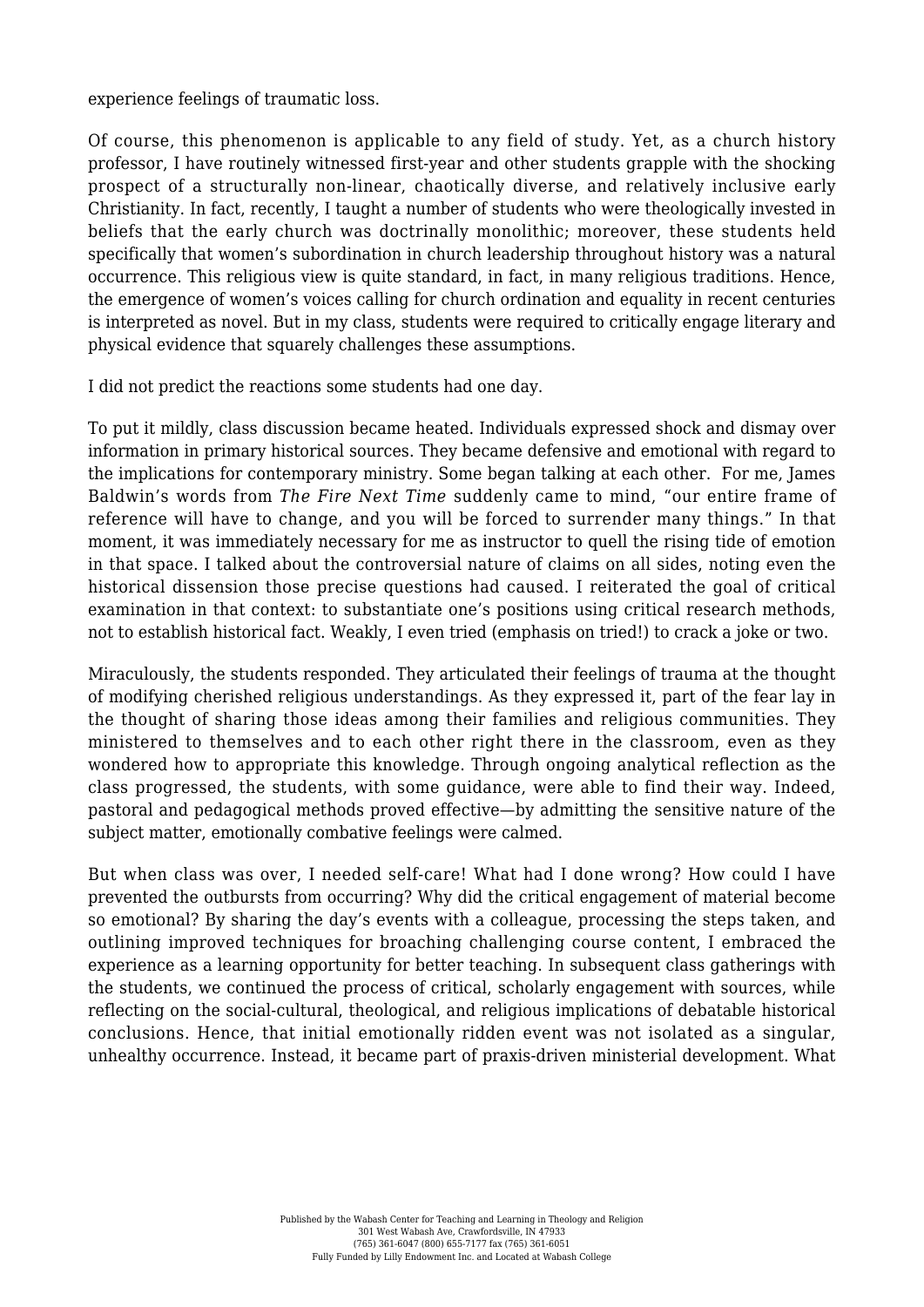experience feelings of traumatic loss.

Of course, this phenomenon is applicable to any field of study. Yet, as a church history professor, I have routinely witnessed first-year and other students grapple with the shocking prospect of a structurally non-linear, chaotically diverse, and relatively inclusive early Christianity. In fact, recently, I taught a number of students who were theologically invested in beliefs that the early church was doctrinally monolithic; moreover, these students held specifically that women's subordination in church leadership throughout history was a natural occurrence. This religious view is quite standard, in fact, in many religious traditions. Hence, the emergence of women's voices calling for church ordination and equality in recent centuries is interpreted as novel. But in my class, students were required to critically engage literary and physical evidence that squarely challenges these assumptions.

I did not predict the reactions some students had one day.

To put it mildly, class discussion became heated. Individuals expressed shock and dismay over information in primary historical sources. They became defensive and emotional with regard to the implications for contemporary ministry. Some began talking at each other. For me, James Baldwin's words from *The Fire Next Time* suddenly came to mind, "our entire frame of reference will have to change, and you will be forced to surrender many things." In that moment, it was immediately necessary for me as instructor to quell the rising tide of emotion in that space. I talked about the controversial nature of claims on all sides, noting even the historical dissension those precise questions had caused. I reiterated the goal of critical examination in that context: to substantiate one's positions using critical research methods, not to establish historical fact. Weakly, I even tried (emphasis on tried!) to crack a joke or two.

Miraculously, the students responded. They articulated their feelings of trauma at the thought of modifying cherished religious understandings. As they expressed it, part of the fear lay in the thought of sharing those ideas among their families and religious communities. They ministered to themselves and to each other right there in the classroom, even as they wondered how to appropriate this knowledge. Through ongoing analytical reflection as the class progressed, the students, with some guidance, were able to find their way. Indeed, pastoral and pedagogical methods proved effective—by admitting the sensitive nature of the subject matter, emotionally combative feelings were calmed.

But when class was over, I needed self-care! What had I done wrong? How could I have prevented the outbursts from occurring? Why did the critical engagement of material become so emotional? By sharing the day's events with a colleague, processing the steps taken, and outlining improved techniques for broaching challenging course content, I embraced the experience as a learning opportunity for better teaching. In subsequent class gatherings with the students, we continued the process of critical, scholarly engagement with sources, while reflecting on the social-cultural, theological, and religious implications of debatable historical conclusions. Hence, that initial emotionally ridden event was not isolated as a singular, unhealthy occurrence. Instead, it became part of praxis-driven ministerial development. What